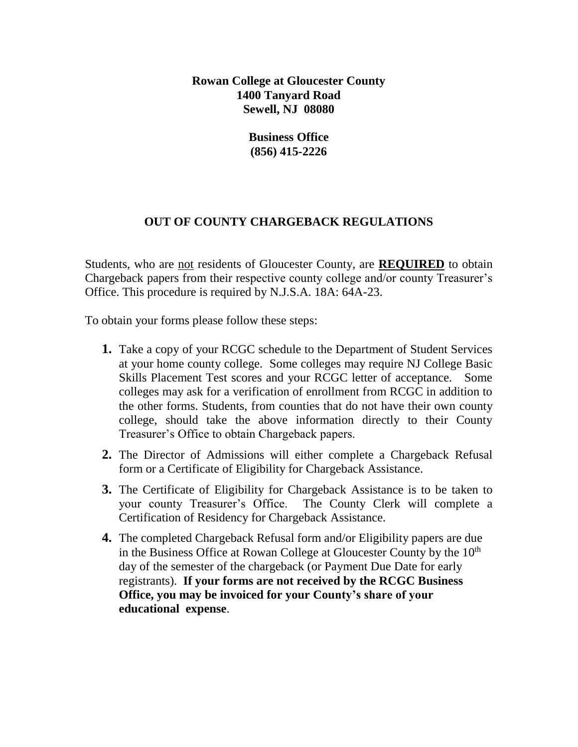**Rowan College at Gloucester County 1400 Tanyard Road Sewell, NJ 08080**

> **Business Office (856) 415-2226**

### **OUT OF COUNTY CHARGEBACK REGULATIONS**

Students, who are not residents of Gloucester County, are **REQUIRED** to obtain Chargeback papers from their respective county college and/or county Treasurer's Office. This procedure is required by N.J.S.A. 18A: 64A-23.

To obtain your forms please follow these steps:

- **1.** Take a copy of your RCGC schedule to the Department of Student Services at your home county college. Some colleges may require NJ College Basic Skills Placement Test scores and your RCGC letter of acceptance. Some colleges may ask for a verification of enrollment from RCGC in addition to the other forms. Students, from counties that do not have their own county college, should take the above information directly to their County Treasurer's Office to obtain Chargeback papers.
- **2.** The Director of Admissions will either complete a Chargeback Refusal form or a Certificate of Eligibility for Chargeback Assistance.
- **3.** The Certificate of Eligibility for Chargeback Assistance is to be taken to your county Treasurer's Office. The County Clerk will complete a Certification of Residency for Chargeback Assistance.
- **4.** The completed Chargeback Refusal form and/or Eligibility papers are due in the Business Office at Rowan College at Gloucester County by the  $10<sup>th</sup>$ day of the semester of the chargeback (or Payment Due Date for early registrants). **If your forms are not received by the RCGC Business Office, you may be invoiced for your County's share of your educational expense**.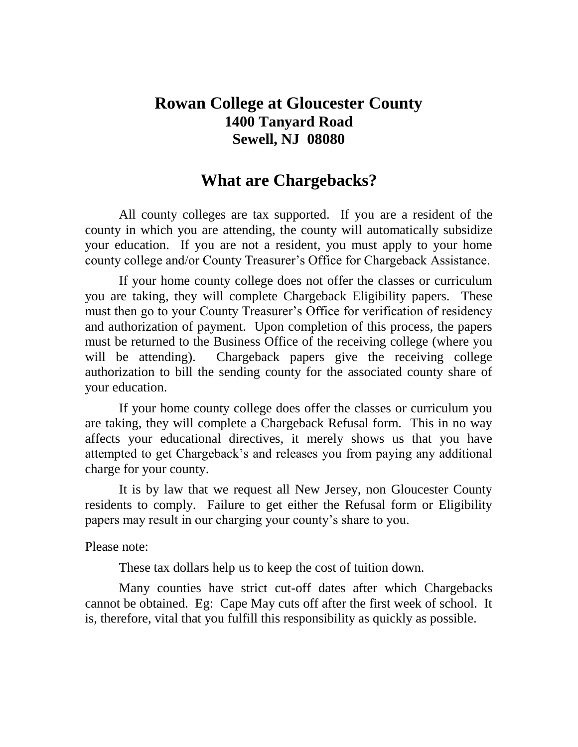## **Rowan College at Gloucester County 1400 Tanyard Road Sewell, NJ 08080**

### **What are Chargebacks?**

All county colleges are tax supported. If you are a resident of the county in which you are attending, the county will automatically subsidize your education. If you are not a resident, you must apply to your home county college and/or County Treasurer's Office for Chargeback Assistance.

If your home county college does not offer the classes or curriculum you are taking, they will complete Chargeback Eligibility papers. These must then go to your County Treasurer's Office for verification of residency and authorization of payment. Upon completion of this process, the papers must be returned to the Business Office of the receiving college (where you will be attending). Chargeback papers give the receiving college authorization to bill the sending county for the associated county share of your education.

If your home county college does offer the classes or curriculum you are taking, they will complete a Chargeback Refusal form. This in no way affects your educational directives, it merely shows us that you have attempted to get Chargeback's and releases you from paying any additional charge for your county.

It is by law that we request all New Jersey, non Gloucester County residents to comply. Failure to get either the Refusal form or Eligibility papers may result in our charging your county's share to you.

Please note:

These tax dollars help us to keep the cost of tuition down.

Many counties have strict cut-off dates after which Chargebacks cannot be obtained. Eg: Cape May cuts off after the first week of school. It is, therefore, vital that you fulfill this responsibility as quickly as possible.